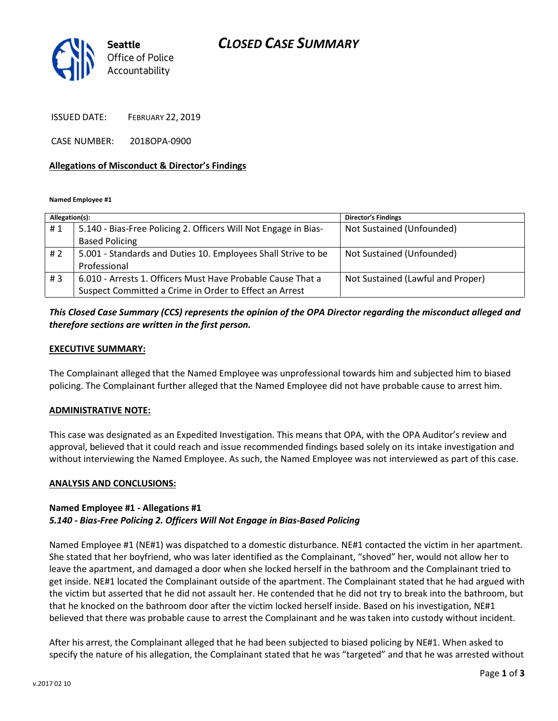## CLOSED CASE SUMMARY



ISSUED DATE: FEBRUARY 22, 2019

CASE NUMBER: 2018OPA-0900

#### Allegations of Misconduct & Director's Findings

Named Employee #1

| Allegation(s): |                                                                 | <b>Director's Findings</b>        |
|----------------|-----------------------------------------------------------------|-----------------------------------|
| #1             | 5.140 - Bias-Free Policing 2. Officers Will Not Engage in Bias- | Not Sustained (Unfounded)         |
|                | <b>Based Policing</b>                                           |                                   |
| #2             | 5.001 - Standards and Duties 10. Employees Shall Strive to be   | Not Sustained (Unfounded)         |
|                | Professional                                                    |                                   |
| #3             | 6.010 - Arrests 1. Officers Must Have Probable Cause That a     | Not Sustained (Lawful and Proper) |
|                | Suspect Committed a Crime in Order to Effect an Arrest          |                                   |

## This Closed Case Summary (CCS) represents the opinion of the OPA Director regarding the misconduct alleged and therefore sections are written in the first person.

#### EXECUTIVE SUMMARY:

The Complainant alleged that the Named Employee was unprofessional towards him and subjected him to biased policing. The Complainant further alleged that the Named Employee did not have probable cause to arrest him.

### ADMINISTRATIVE NOTE:

This case was designated as an Expedited Investigation. This means that OPA, with the OPA Auditor's review and approval, believed that it could reach and issue recommended findings based solely on its intake investigation and without interviewing the Named Employee. As such, the Named Employee was not interviewed as part of this case.

#### ANALYSIS AND CONCLUSIONS:

### Named Employee #1 - Allegations #1 5.140 - Bias-Free Policing 2. Officers Will Not Engage in Bias-Based Policing

Named Employee #1 (NE#1) was dispatched to a domestic disturbance. NE#1 contacted the victim in her apartment. She stated that her boyfriend, who was later identified as the Complainant, "shoved" her, would not allow her to leave the apartment, and damaged a door when she locked herself in the bathroom and the Complainant tried to get inside. NE#1 located the Complainant outside of the apartment. The Complainant stated that he had argued with the victim but asserted that he did not assault her. He contended that he did not try to break into the bathroom, but that he knocked on the bathroom door after the victim locked herself inside. Based on his investigation, NE#1 believed that there was probable cause to arrest the Complainant and he was taken into custody without incident.

After his arrest, the Complainant alleged that he had been subjected to biased policing by NE#1. When asked to specify the nature of his allegation, the Complainant stated that he was "targeted" and that he was arrested without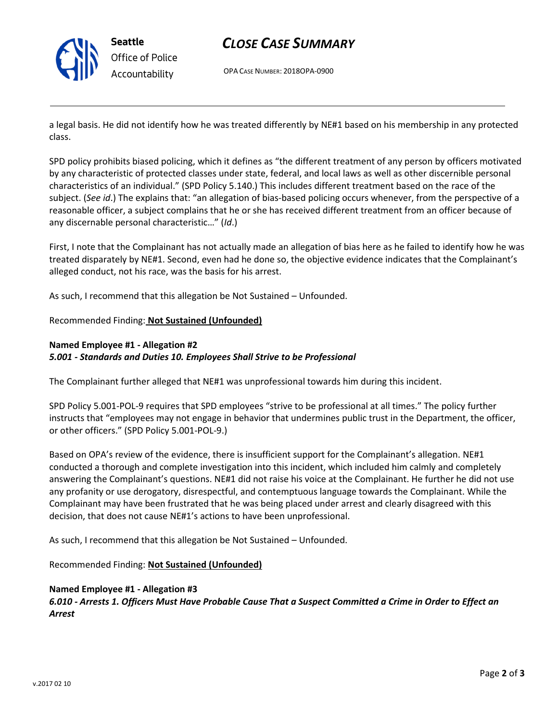

Seattle Office of Police Accountability

# CLOSE CASE SUMMARY

OPA CASE NUMBER: 2018OPA-0900

a legal basis. He did not identify how he was treated differently by NE#1 based on his membership in any protected class.

SPD policy prohibits biased policing, which it defines as "the different treatment of any person by officers motivated by any characteristic of protected classes under state, federal, and local laws as well as other discernible personal characteristics of an individual." (SPD Policy 5.140.) This includes different treatment based on the race of the subject. (See id.) The explains that: "an allegation of bias-based policing occurs whenever, from the perspective of a reasonable officer, a subject complains that he or she has received different treatment from an officer because of any discernable personal characteristic…" (Id.)

First, I note that the Complainant has not actually made an allegation of bias here as he failed to identify how he was treated disparately by NE#1. Second, even had he done so, the objective evidence indicates that the Complainant's alleged conduct, not his race, was the basis for his arrest.

As such, I recommend that this allegation be Not Sustained – Unfounded.

## Recommended Finding: Not Sustained (Unfounded)

### Named Employee #1 - Allegation #2 5.001 - Standards and Duties 10. Employees Shall Strive to be Professional

The Complainant further alleged that NE#1 was unprofessional towards him during this incident.

SPD Policy 5.001-POL-9 requires that SPD employees "strive to be professional at all times." The policy further instructs that "employees may not engage in behavior that undermines public trust in the Department, the officer, or other officers." (SPD Policy 5.001-POL-9.)

Based on OPA's review of the evidence, there is insufficient support for the Complainant's allegation. NE#1 conducted a thorough and complete investigation into this incident, which included him calmly and completely answering the Complainant's questions. NE#1 did not raise his voice at the Complainant. He further he did not use any profanity or use derogatory, disrespectful, and contemptuous language towards the Complainant. While the Complainant may have been frustrated that he was being placed under arrest and clearly disagreed with this decision, that does not cause NE#1's actions to have been unprofessional.

As such, I recommend that this allegation be Not Sustained – Unfounded.

Recommended Finding: Not Sustained (Unfounded)

### Named Employee #1 - Allegation #3

6.010 - Arrests 1. Officers Must Have Probable Cause That a Suspect Committed a Crime in Order to Effect an Arrest